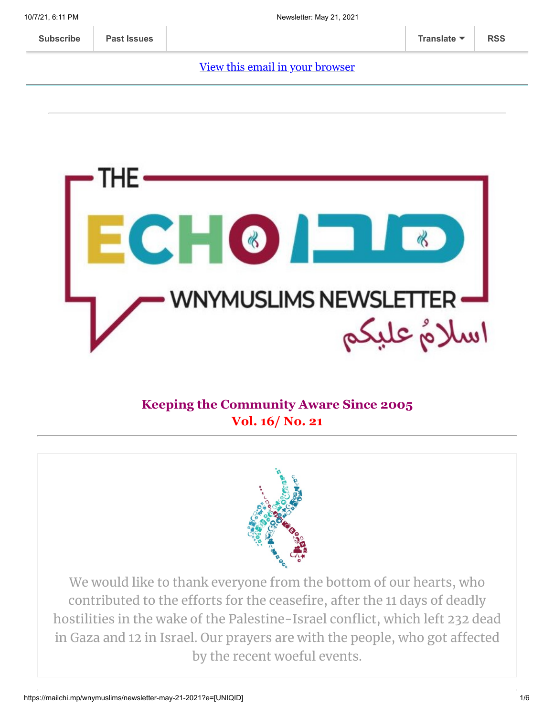#### [View this email in your browser](https://mailchi.mp/wnymuslims/newsletter-may-21-2021?e=[UNIQID])



#### **Keeping the Community Aware Since 2005 Vol. 16/ No. 21**



We would like to thank everyone from the bottom of our hearts, who contributed to the efforts for the ceasefire, after the 11 days of deadly hostilities in the wake of the Palestine-Israel conflict, which left 232 dead in Gaza and 12 in Israel. Our prayers are with the people, who got affected by the recent woeful events.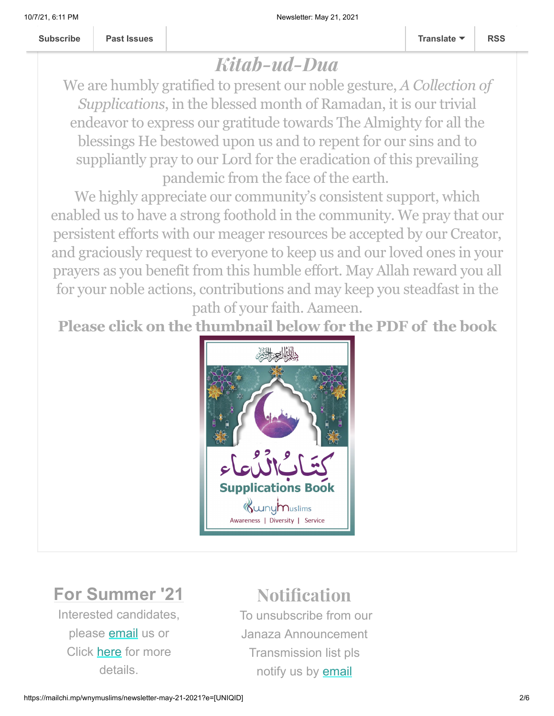# Kitab-ud-Dua

We are humbly gratified to present our noble gesture, *A Collection of Supplications*, in the blessed month of Ramadan, it is our trivial endeavor to express our gratitude towards The Almighty for all the blessings He bestowed upon us and to repent for our sins and to suppliantly pray to our Lord for the eradication of this prevailing pandemic from the face of the earth.

We highly appreciate our community's consistent support, which enabled us to have a strong foothold in the community. We pray that our persistent efforts with our meager resources be accepted by our Creator, and graciously request to everyone to keep us and our loved ones in your prayers as you benefit from this humble effort. May Allah reward you all for your noble actions, contributions and may keep you steadfast in the path of your faith. Aameen.

**Please click on the thumbnail below for the PDF of the book**



## **For Summer '21**

Interested candidates, please **[email](mailto:wnymuslims@wnymuslims.org)** us or Click [here](https://wnymuslims.org/volunteer-and-internships-opportunities/) for more details.

## **Notification**

To unsubscribe from our Janaza Announcement Transmission list pls notify us by [email](mailto:wnym@wnymuslims.org?subject=Janaza%20Announcement%20List%20Removal%20Request)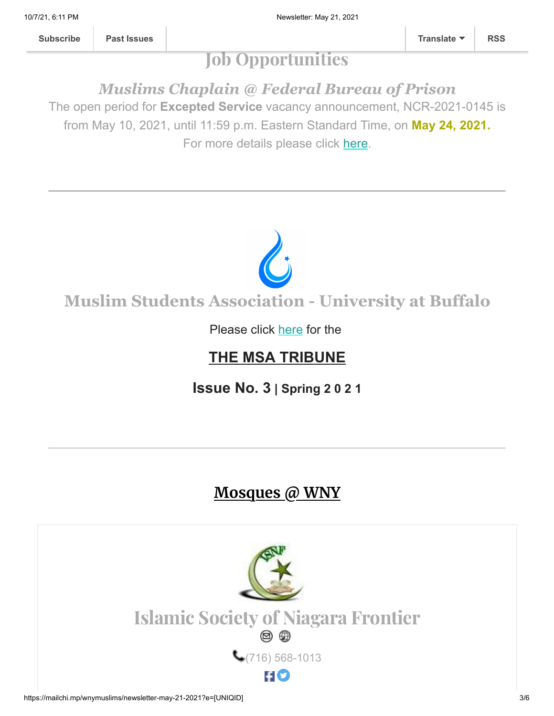**[Subscribe](http://eepurl.com/b19N3D) [Past Issues](https://us13.campaign-archive.com/home/?u=19ed6f05ad8527220a10faa63&id=636f885f5f) [Translate](javascript:;) [RSS](https://us13.campaign-archive.com/feed?u=19ed6f05ad8527220a10faa63&id=636f885f5f)**

# Job Opportunities

*Muslims Chaplain @ Federal Bureau of Prison* The open period for **Excepted Service** vacancy announcement, NCR-2021-0145 is

from May 10, 2021, until 11:59 p.m. Eastern Standard Time, on **May 24, 2021.**

For more details please click [here.](https://wnymuslims.org/event/job-opportunity-muslims-chaplain-federal-bureau-of-prison/)



### Please click [here](https://wnymuslims.org/event/the-msa-tribune/) for the

## **THE MSA TRIBUNE**

**Issue No. 3 | Spring 2 0 2 1**

# **Mosques @ WNY**

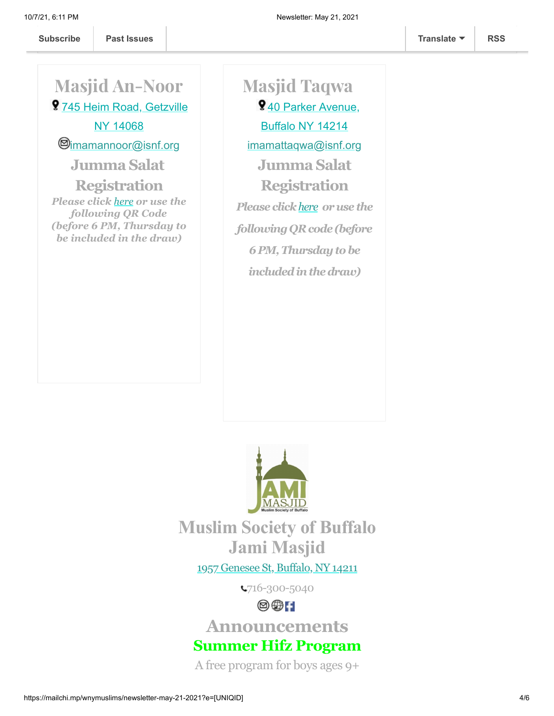Masjid An-Noor

9 [745 Heim Road, Getzville](https://www.google.com/maps/place/ISNF+Masjid+An-Noor,+Amherst/@43.0204858,-78.7461322,17z/data=!3m1!4b1!4m5!3m4!1s0x89d376b45c29e355:0x2384d34a4c1ffd88!8m2!3d43.0204858!4d-78.7439435) NY 14068

 $@$ [imamannoor@isnf.org](mailto:Imam%20Masjid%20Noor:%C2%A0%20imamannoor@isnf.org)

**Jumma Salat**

**Registration** *Please click [here](https://docs.google.com/forms/d/e/1FAIpQLSeq90LWToXxw8pql2jlSthDK-fQda2cKNee1GK1NyvAO7OxUg/viewform) or use the following QR Code (before 6 PM, Thursday to be included in the draw)*

Masjid Taqwa 9[40 Parker Avenue,](https://www.google.com/maps/place/Masjid+Taqwa/@43.3093171,-79.5980345,9z/data=!4m8!1m2!2m1!1sMasjid+taqwa!3m4!1s0x89d36d559f03d805:0x1c7451c1c1c01c3d!8m2!3d42.940434!4d-78.8394265) Buffalo NY 14214 [imamattaqwa@isnf.org](mailto:imamattaqwa@isnf.org) **Jumma Salat Registration** *Please click[here](https://tinyurl.com/y8z27jqg) oruse the following QRcode (before 6 PM,Thursdaytobe includedinthedraw)*



**Muslim Society of Buffalo Jami Masjid**

1957 [Genesee](https://www.google.com/maps/place/Universal+School/@42.9136906,-78.8116585,17z/data=!3m1!4b1!4m5!3m4!1s0x89d376b466438e9f:0xda418f4c41063eaf!8m2!3d42.9136906!4d-78.8094698) St, Buffalo, NY 14211

716-300-5040

 $\circledcirc$   $\circ$ 

**Announcements**

**Summer Hifz Program**

A free program for boys ages 9+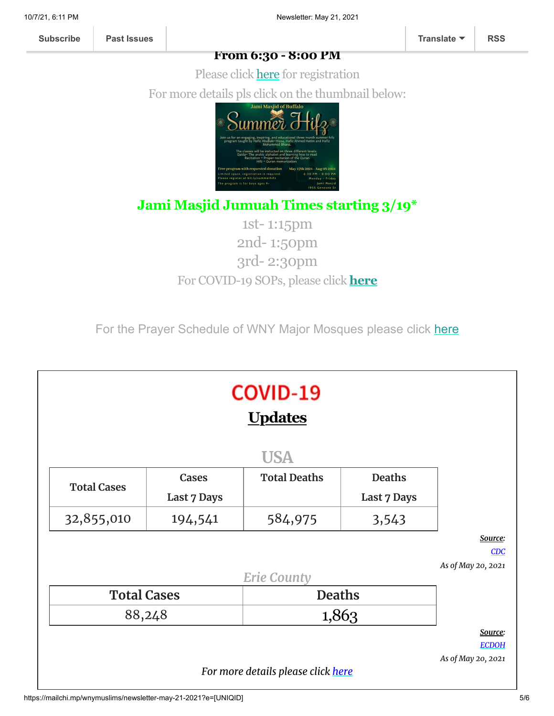#### **From 6:30 - 8:00 PM**

Please click [here](http://bit.ly/summerhifz) for registration For more details pls click on the thumbnail below:



### **Jami Masjid Jumuah Times starting 3/19\***

1st- 1:15pm 2nd- 1:50pm 3rd- 2:30pm For COVID-19 SOPs, please click **[here](https://jamimasjidbuffalo.com/?fbclid=IwAR0GxShgndrMmvntv1N2_4knDxllAYTIm1bTjRKtlv-C6O2uuMIBSK9UZX0)**

For the Prayer Schedule of WNY Major Mosques please click [here](https://wnymuslims.org/event/prayer-schedule-of-the-mosques-in-wny/)